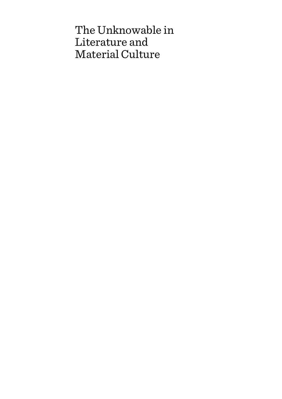# The Unknowable in Literature and Material Culture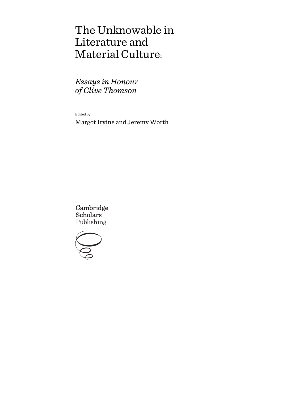# The Unknowable in Literature and Material Culture:

*Essays in Honour of Clive Thomson*

Edited by

Margot Irvine and Jeremy Worth

Cambridge **Scholars** Publishing

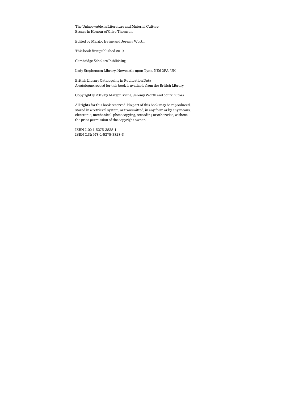The Unknowable in Literature and Material Culture: Essays in Honour of Clive Thomson

Edited by Margot Irvine and Jeremy Worth

This book first published 2019

Cambridge Scholars Publishing

Lady Stephenson Library, Newcastle upon Tyne, NE6 2PA, UK

British Library Cataloguing in Publication Data A catalogue record for this book is available from the British Library

Copyright © 2019 by Margot Irvine, Jeremy Worth and contributors

All rights for this book reserved. No part of this book may be reproduced, stored in a retrieval system, or transmitted, in any form or by any means, electronic, mechanical, photocopying, recording or otherwise, without the prior permission of the copyright owner.

ISBN (10): 1-5275-3828-1 ISBN (13): 978-1-5275-3828-3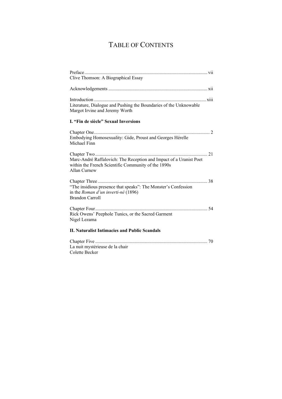## TABLE OF CONTENTS

| Clive Thomson: A Biographical Essay                                                                                                       |
|-------------------------------------------------------------------------------------------------------------------------------------------|
|                                                                                                                                           |
|                                                                                                                                           |
| Literature, Dialogue and Pushing the Boundaries of the Unknowable<br>Margot Irvine and Jeremy Worth                                       |
| I. "Fin de siècle" Sexual Inversions                                                                                                      |
| Embodying Homosexuality: Gide, Proust and Georges Hérelle<br>Michael Finn                                                                 |
| Marc-André Raffalovich: The Reception and Impact of a Uranist Poet<br>within the French Scientific Community of the 1890s<br>Allan Curnew |
| "The insidious presence that speaks": The Monster's Confession<br>in the Roman d'un inverti-né (1896)<br><b>Brandon Carroll</b>           |
| Rick Owens' Peephole Tunics, or the Sacred Garment<br>Nigel Lezama                                                                        |
| <b>II. Naturalist Intimacies and Public Scandals</b>                                                                                      |
| La nuit mystérieuse de la chair                                                                                                           |

Colette Becker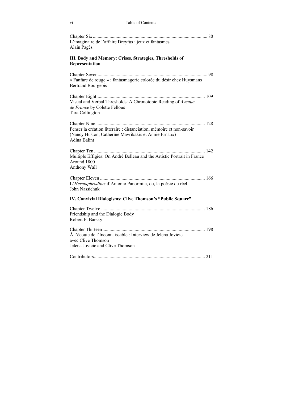| L'imaginaire de l'affaire Dreyfus : jeux et fantasmes<br>Alain Pagès                                                                         |
|----------------------------------------------------------------------------------------------------------------------------------------------|
| III. Body and Memory: Crises, Strategies, Thresholds of<br>Representation                                                                    |
| « Fanfare de rouge » : fantasmagorie colorée du désir chez Huysmans<br><b>Bertrand Bourgeois</b>                                             |
| Visual and Verbal Thresholds: A Chronotopic Reading of Avenue<br>de France by Colette Fellous<br>Tara Collington                             |
| Penser la création littéraire : distanciation, mémoire et non-savoir<br>(Nancy Huston, Catherine Mavrikakis et Annie Ernaux)<br>Adina Balint |
| Multiple Effigies: On André Belleau and the Artistic Portrait in France<br>Around 1800<br>Anthony Wall                                       |
| L'Hermaphroditus d'Antonio Panormita, ou, la poésie du réel<br>John Nassichuk                                                                |
| IV. Convivial Dialogisms: Clive Thomson's "Public Square"                                                                                    |
| Friendship and the Dialogic Body<br>Robert F. Barsky                                                                                         |
| À l'écoute de l'Inconnaissable : Interview de Jelena Jovicic<br>avec Clive Thomson<br>Jelena Jovicic and Clive Thomson                       |
|                                                                                                                                              |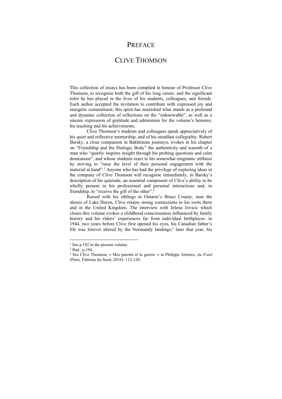## PREFACE

### CLIVE THOMSON

This collection of essays has been compiled in honour of Professor Clive Thomson, to recognise both the gift of his long career, and the significant roles he has played in the lives of his students, colleagues, and friends. Each author accepted the invitation to contribute with expressed joy and energetic commitment; this spirit has nourished what stands as a profound and dynamic collection of reflections on the "unknowable", as well as a sincere expression of gratitude and admiration for the volume's honoree, his teaching and his achievements.

Clive Thomson's students and colleagues speak appreciatively of his quiet and reflective mentorship, and of his steadfast collegiality. Robert Barsky, a close companion in Bakhtinian journeys, evokes in his chapter on "Friendship and the Dialogic Body" the authenticity and warmth of a man who "quietly inspires insight through his probing questions and calm demeanour", and whose students react to his somewhat enigmatic stillness by striving to "raise the level of their personal engagement with the material at hand".<sup>1</sup> Anyone who has had the privilege of exploring ideas in the company of Clive Thomson will recognise immediately, in Barsky's description of his quietude, an essential component of Clive's ability to be wholly present in his professional and personal interactions and, in friendship, to "receive the gift of the other".<sup>2</sup>

Raised with his siblings in Ontario's Bruce County, near the shores of Lake Huron, Clive retains strong connections to his roots there and in the United Kingdom. The interview with Jelena Jovicic which closes this volume evokes a childhood consciousness influenced by family history and his elders' experiences far from individual birthplaces: in 1944, two years before Clive first opened his eyes, his Canadian father's life was forever altered by the Normandy landings;<sup>3</sup> later that year, his

<sup>&</sup>lt;sup>1</sup> See p.192 in the present volume.<br><sup>2</sup> Ibid., p.194.

<sup>3</sup> See Clive Thomson, « Mes parents et la guerre. » in Philippe Artières, *Au Fond* (Paris, Éditions du Seuil, 2016): 113-120.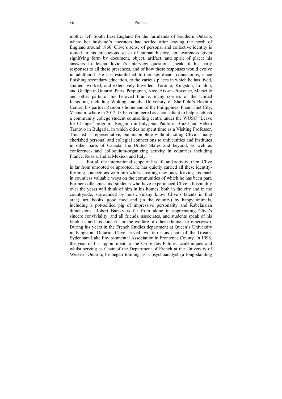mother left South East England for the farmlands of Southern Ontario, where her husband's ancestors had settled after leaving the north of England around 1860. Clive's sense of personal and collective identity is rooted in his precocious sense of human history, an awareness given signifying form by document, object, artifact, and spirit of place; his answers to Jelena Jovicic's interview questions speak of his early responses to all these presences, and of how these responses would evolve in adulthood. He has established further significant connections, since finishing secondary education, to the various places in which he has lived, studied, worked, and extensively travelled: Toronto, Kingston, London, and Guelph in Ontario; Paris, Perpignan, Nice, Aix-en-Provence, Marseille and other parts of his beloved France; many corners of the United Kingdom, including Woking and the University of Sheffield's Bakhtin Centre; his partner Ramon's homeland of the Philippines; Phan Thiet City, Vietnam, where in 2012-13 he volunteered as a consultant to help establish a community college student counselling centre under the WUSC "Leave for Change" program; Bergamo in Italy, Sao Paulo in Brazil and Veliko Tarnovo in Bulgaria, in which cities he spent time as a Visiting Professor. This list is representative, but incomplete without noting Clive's many cherished personal and collegial connections to universities and institutes in other parts of Canada, the United States and beyond, as well as conference- and colloquium-organizing activity in countries including France, Russia, India, Mexico, and Italy.

For all the international scope of his life and activity, then, Clive is far from unrooted or uprooted; he has quietly carried all these identityforming connections with him whilst creating new ones, leaving his mark in countless valuable ways on the communities of which he has been part. Former colleagues and students who have experienced Clive's hospitality over the years will think of him in his homes, both in the city and in the countryside, surrounded by music (many know Clive's talents in that area), art, books, good food and (in the country) by happy animals, including a pot-bellied pig of impressive personality and Rabelaisian dimensions. Robert Barsky is far from alone in appreciating Clive's sincere conviviality, and all friends, associates, and students speak of his kindness and his concern for the welfare of others (human or otherwise). During his years in the French Studies department at Queen's University in Kingston, Ontario, Clive served two terms as chair of the Greater Sydenham Lake Environmental Association in Frontenac County. In 1998, the year of his appointment to the Ordre des Palmes académiques and whilst serving as Chair of the Department of French at the University of Western Ontario, he began training as a psychoanalyst (a long-standing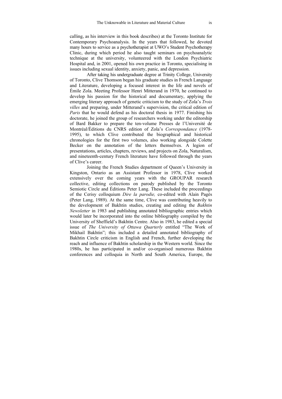calling, as his interview in this book describes) at the Toronto Institute for Contemporary Psychoanalysis. In the years that followed, he devoted many hours to service as a psychotherapist at UWO's Student Psychotherapy Clinic, during which period he also taught seminars on psychoanalytic technique at the university, volunteered with the London Psychiatric Hospital and, in 2001, opened his own practice in Toronto, specialising in issues including sexual identity, anxiety, panic, and depression.

After taking his undergraduate degree at Trinity College, University of Toronto, Clive Thomson began his graduate studies in French Language and Literature, developing a focused interest in the life and novels of Émile Zola. Meeting Professor Henri Mitterand in 1970, he continued to develop his passion for the historical and documentary, applying the emerging literary approach of genetic criticism to the study of Zola's *Trois villes* and preparing, under Mitterand's supervision, the critical edition of *Paris* that he would defend as his doctoral thesis in 1977. Finishing his doctorate, he joined the group of researchers working under the editorship of Bard Bakker to prepare the ten-volume Presses de l'Université de Montréal/Éditions du CNRS edition of Zola's *Correspondance* (1978- 1995), to which Clive contributed the biographical and historical chronologies for the first two volumes, also working alongside Colette Becker on the annotation of the letters themselves. A legion of presentations, articles, chapters, reviews, and projects on Zola, Naturalism, and nineteenth-century French literature have followed through the years of Clive's career.

Joining the French Studies department of Queen's University in Kingston, Ontario as an Assistant Professor in 1978, Clive worked extensively over the coming years with the GROUPAR research collective, editing collections on parody published by the Toronto Semiotic Circle and Éditions Peter Lang. These included the proceedings of the Cerisy colloquium *Dire la parodie,* co-edited with Alain Pagès (Peter Lang, 1989). At the same time, Clive was contributing heavily to the development of Bakhtin studies, creating and editing the *Bakhtin Newsletter* in 1983 and publishing annotated bibliographic entries which would later be incorporated into the online bibliography compiled by the University of Sheffield's Bakhtin Centre. Also in 1983, he edited a special issue of *The University of Ottawa Quarterly* entitled "The Work of Mikhail Bakhtin"; this included a detailed annotated bibliography of Bakhtin Circle criticism in English and French, further developing the reach and influence of Bakhtin scholarship in the Western world. Since the 1980s, he has participated in and/or co-organised numerous Bakhtin conferences and colloquia in North and South America, Europe, the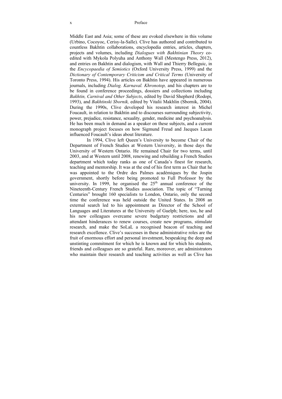Middle East and Asia; some of these are evoked elsewhere in this volume (Urbino, Cocoyoc, Cerisy-la-Salle). Clive has authored and contributed to countless Bakhtin collaborations, encyclopedia entries, articles, chapters, projects and volumes, including *Dialogues with Bakhtinian Theory* coedited with Mykola Polyuha and Anthony Wall (Mestengo Press, 2012), and entries on Bakhtin and dialogism, with Wall and Thierry Belleguic, in the *Encycopaedia of Semiotics* (Oxford University Press, 1999) and the *Dictionary of Contemporary Criticism and Critical Terms* (University of Toronto Press, 1994). His articles on Bakhtin have appeared in numerous journals, including *Dialog. Karnaval. Khronotop,* and his chapters are to be found in conference proceedings, dossiers and collections including *Bakhtin, Carnival and Other Subjects*, edited by David Shepherd (Rodopi, 1993), and *Bakhtinski Sbornik,* edited by Vitalii Makhlin (Sbornik, 2004). During the 1990s, Clive developed his research interest in Michel Foucault, in relation to Bakhtin and to discourses surrounding subjectivity, power, prejudice, resistance, sexuality, gender, medicine and psychoanalysis. He has been much in demand as a speaker on these subjects, and a current monograph project focuses on how Sigmund Freud and Jacques Lacan influenced Foucault's ideas about literature.

In 1994, Clive left Queen's University to become Chair of the Department of French Studies at Western University, in those days the University of Western Ontario. He remained Chair for two terms, until 2003, and at Western until 2008, renewing and rebuilding a French Studies department which today ranks as one of Canada's finest for research, teaching and mentorship. It was at the end of his first term as Chair that he was appointed to the Ordre des Palmes académiques by the Jospin government, shortly before being promoted to Full Professor by the university. In 1999, he organised the  $25<sup>th</sup>$  annual conference of the Nineteenth-Century French Studies association. The topic of "Turning Centuries" brought 160 specialists to London, Ontario, only the second time the conference was held outside the United States. In 2008 an external search led to his appointment as Director of the School of Languages and Literatures at the University of Guelph; here, too, he and his new colleagues overcame severe budgetary restrictions and all attendant hinderances to renew courses, create new programs, stimulate research, and make the SoLaL a recognised beacon of teaching and research excellence. Clive's successes in these administrative roles are the fruit of enormous effort and personal investment, bespeaking the deep and unstinting commitment for which he is known and for which his students, friends and colleagues are so grateful. Rare, moreover, are administrators who maintain their research and teaching activities as well as Clive has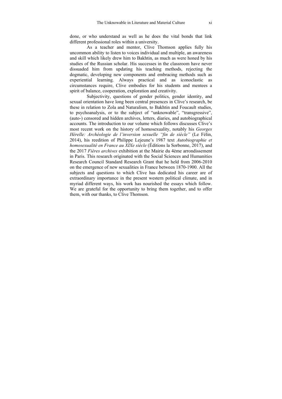done, or who understand as well as he does the vital bonds that link different professional roles within a university.

As a teacher and mentor, Clive Thomson applies fully his uncommon ability to listen to voices individual and multiple, an awareness and skill which likely drew him to Bakhtin, as much as were honed by his studies of the Russian scholar. His successes in the classroom have never dissuaded him from updating his teaching methods, rejecting the dogmatic, developing new components and embracing methods such as experiential learning. Always practical and as iconoclastic as circumstances require, Clive embodies for his students and mentees a spirit of balance, cooperation, exploration and creativity.

Subjectivity, questions of gender politics, gender identity, and sexual orientation have long been central presences in Clive's research, be these in relation to Zola and Naturalism, to Bakhtin and Foucault studies, to psychoanalysis, or to the subject of "unknowable", "transgressive", (auto-) censored and hidden archives, letters, diaries, and autobiographical accounts. The introduction to our volume which follows discusses Clive's most recent work on the history of homosexuality, notably his *Georges Hérelle: Archéologie de l'inversion sexuelle "fin de siècle"* (Le Félin, 2014), his reedition of Philippe Lejeune's 1987 text *Autobiographie et homosexualité en France au XIXe siècle* (Éditions la Sorbonne, 2017), and the 2017 *Fières archives* exhibition at the Mairie du 4ème arrondissement in Paris. This research originated with the Social Sciences and Humanities Research Council Standard Research Grant that he held from 2006-2010 on the emergence of new sexualities in France between 1870-1900. All the subjects and questions to which Clive has dedicated his career are of extraordinary importance in the present western political climate, and in myriad different ways, his work has nourished the essays which follow. We are grateful for the opportunity to bring them together, and to offer them, with our thanks, to Clive Thomson.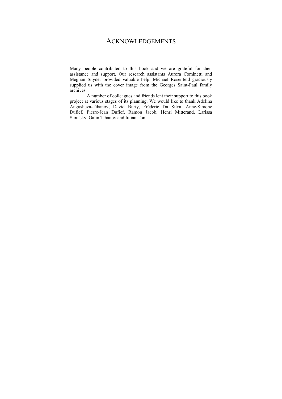### ACKNOWLEDGEMENTS

Many people contributed to this book and we are grateful for their assistance and support. Our research assistants Aurora Cominetti and Meghan Snyder provided valuable help. Michael Rosenfeld graciously supplied us with the cover image from the Georges Saint-Paul family archives.

A number of colleagues and friends lent their support to this book project at various stages of its planning. We would like to thank Adelina Angusheva-Tihanov, David Burty, Frédéric Da Silva, Anne-Simone Dufief, Pierre-Jean Dufief, Ramon Jacob, Henri Mitterand, Larissa Sloutsky, Galin Tihanov and Iulian Toma.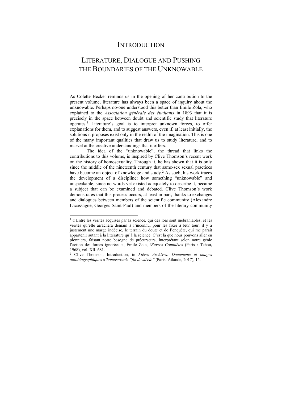## **INTRODUCTION**

## LITERATURE, DIALOGUE AND PUSHING THE BOUNDARIES OF THE UNKNOWABLE

As Colette Becker reminds us in the opening of her contribution to the present volume, literature has always been a space of inquiry about the unknowable. Perhaps no-one understood this better than Émile Zola, who explained to the *Association générale des étudiants* in 1893 that it is precisely in the space between doubt and scientific study that literature operates.1 Literature's goal is to interpret unknown forces, to offer explanations for them, and to suggest answers, even if, at least initially, the solutions it proposes exist only in the realm of the imagination. This is one of the many important qualities that draw us to study literature, and to marvel at the creative understandings that it offers.

The idea of the "unknowable", the thread that links the contributions to this volume, is inspired by Clive Thomson's recent work on the history of homosexuality. Through it, he has shown that it is only since the middle of the nineteenth century that same-sex sexual practices have become an object of knowledge and study.<sup>2</sup> As such, his work traces the development of a discipline: how something "unknowable" and unspeakable, since no words yet existed adequately to describe it, became a subject that can be examined and debated. Clive Thomson's work demonstrates that this process occurs, at least in part, thanks to exchanges and dialogues between members of the scientific community (Alexandre Lacassagne, Georges Saint-Paul) and members of the literary community

 $<sup>1</sup>$  « Entre les vérités acquises par la science, qui dès lors sont inébranlables, et les</sup> vérités qu'elle arrachera demain à l'inconnu, pour les fixer à leur tour, il y a justement une marge indécise, le terrain du doute et de l'enquête, qui me paraît appartenir autant à la littérature qu'à la science. C'est là que nous pouvons aller en pionniers, faisant notre besogne de précurseurs, interprétant selon notre génie l'action des forces ignorées », Émile Zola, *Œuvres Complètes* (Paris : Tchou, 1968), vol. XII, 681.

<sup>2</sup> Clive Thomson, Introduction, in *Fières Archives: Documents et images autobiographiques d'homosexuels "fin de siècle"* (Paris: Atlande, 2017), 15.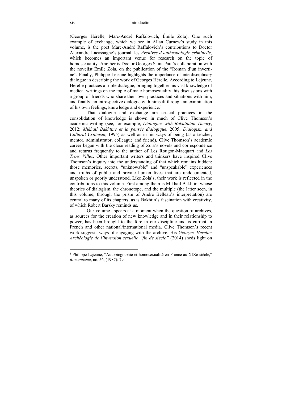### xiv Introduction

(Georges Hérelle, Marc-André Raffalovich, Émile Zola). One such example of exchange, which we see in Allan Curnew's study in this volume, is the poet Marc-André Raffalovich's contributions to Doctor Alexandre Lacassagne's journal, les *Archives d'anthropologie criminelle*, which becomes an important venue for research on the topic of homosexuality. Another is Doctor Georges Saint-Paul's collaboration with the novelist Émile Zola, on the publication of the "Roman d'un invertiné". Finally, Philippe Lejeune highlights the importance of interdisciplinary dialogue in describing the work of Georges Hérelle. According to Lejeune, Hérelle practices a triple dialogue, bringing together his vast knowledge of medical writings on the topic of male homosexuality, his discussions with a group of friends who share their own practices and situations with him, and finally, an introspective dialogue with himself through an examination of his own feelings, knowledge and experience.3

That dialogue and exchange are crucial practices in the consolidation of knowledge is shown in much of Clive Thomson's academic writing (see, for example, *Dialogues with Bakhtinian Theory*, 2012; *Mikhail Bakhtine et la pensée dialogique*, 2005; *Dialogism and Cultural Criticism*, 1995) as well as in his ways of being (as a teacher, mentor, administrator, colleague and friend). Clive Thomson's academic career began with the close reading of Zola's novels and correspondence and returns frequently to the author of Les Rougon-Macquart and *Les Trois Villes*. Other important writers and thinkers have inspired Clive Thomson's inquiry into the understanding of that which remains hidden: those memories, secrets, "unknowable" and "unspeakable" experiences and truths of public and private human lives that are undocumented, unspoken or poorly understood. Like Zola's, their work is reflected in the contributions to this volume. First among them is Mikhail Bakhtin, whose theories of dialogism, the chronotope, and the multiple (the latter seen, in this volume, through the prism of André Belleau's interpretation) are central to many of its chapters, as is Bakhtin's fascination with creativity, of which Robert Barsky reminds us.

Our volume appears at a moment when the question of archives, as sources for the creation of new knowledge and in their relationship to power, has been brought to the fore in our discipline and is current in French and other national/international media. Clive Thomson's recent work suggests ways of engaging with the archive. His *Georges Hérelle: Archéologie de l'inversion sexuelle "fin de siècle"* (2014) sheds light on

<sup>&</sup>lt;sup>3</sup> Philippe Lejeune, "Autobiographie et homosexualité en France au XIXe siècle," *Romantisme*, no. 56, (1987): 79.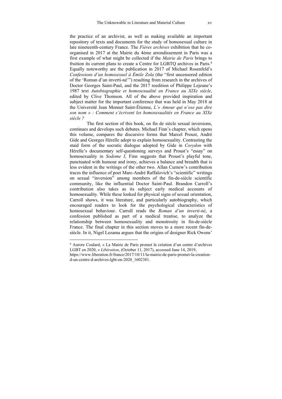the practice of an archivist, as well as making available an important repository of texts and documents for the study of homosexual culture in late nineteenth-century France. The *Fières archives* exhibition that he coorganised in 2017 at the Mairie du 4ème arrondissement in Paris was a first example of what might be collected if the *Mairie de Paris* brings to fruition its current plans to create a Centre for LGBTQ archives in Paris.4 Equally noteworthy are the publication in 2017 of Michael Rosenfeld's *Confessions d'un homosexuel à Émile Zola* (the "first uncensored edition of the 'Roman d'un inverti-né'") resulting from research in the archives of Doctor Georges Saint-Paul, and the 2017 reedition of Philippe Lejeune's 1987 text *Autobiographie et homosexualité en France au XIXe siècle*, edited by Clive Thomson. All of the above provided inspiration and subject matter for the important conference that was held in May 2018 at the Université Jean Monnet Saint-Étienne, *L'« Amour qui n'ose pas dire son nom » : Comment s'écrivent les homosexualités en France au XIXe siècle ?*

The first section of this book, on fin de siècle sexual inversions, continues and develops such debates. Michael Finn's chapter, which opens this volume, compares the discursive forms that Marcel Proust, André Gide and Georges Hérelle adopt to explain homosexuality. Contrasting the staid form of the socratic dialogue adopted by Gide in *Corydon* with Hérelle's documentary self-questioning surveys and Proust's "essay" on homosexuality in *Sodome I*, Finn suggests that Proust's playful tone, punctuated with humour and irony, achieves a balance and breadth that is less evident in the writings of the other two. Allan Curnew's contribution traces the influence of poet Marc-André Raffalovich's "scientific" writings on sexual "inversion" among members of the fin-de-siècle scientific community, like the influential Doctor Saint-Paul. Brandon Carroll's contribution also takes as its subject early medical accounts of homosexuality. While these looked for physical signs of sexual orientation, Carroll shows, it was literature, and particularly autobiography, which encouraged readers to look for the psychological characteristics of homosexual behaviour. Carroll reads the *Roman d'un inverti-né*, a confession published as part of a medical treatise, to analyze the relationship between homosexuality and monstrosity in fin-de-siècle France. The final chapter in this section moves to a more recent fin-desiècle. In it, Nigel Lezama argues that the origins of designer Rick Owens'

<sup>4</sup> Aurore Coulard, « La Mairie de Paris promet la création d'un centre d'archives LGBT en 2020, » *Libération*, (October 11, 2017), accessed June 14, 2019,

https://www.liberation.fr/france/2017/10/11/la-mairie-de-paris-promet-la-creationd-un-centre-d-archives-lgbt-en-2020\_1602381.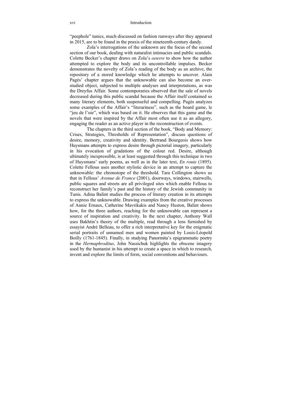"peephole" tunics, much discussed on fashion runways after they appeared in 2015, are to be found in the praxis of the nineteenth-century dandy.

Zola's interrogations of the unknown are the focus of the second section of our book, dealing with naturalist intimacies and public scandals. Colette Becker's chapter draws on Zola's *oeuvre* to show how the author attempted to explore the body and its uncontrollable impulses. Becker demonstrates the novelty of Zola's reading of the body as an archive, the repository of a stored knowledge which he attempts to uncover. Alain Pagès' chapter argues that the unknowable can also become an overstudied object, subjected to multiple analyses and interpretations, as was the Dreyfus Affair. Some contemporaries observed that the sale of novels decreased during this public scandal because the Affair itself contained so many literary elements, both suspenseful and compelling. Pagès analyzes some examples of the Affair's "literariness", such as the board game, le "jeu de l'oie", which was based on it. He observes that this game and the novels that were inspired by the Affair most often use it as an allegory, engaging the reader as an active player in the reconstruction of events.

The chapters in the third section of the book, "Body and Memory: Crises, Strategies, Thresholds of Representation", discuss questions of desire, memory, creativity and identity. Bertrand Bourgeois shows how Huysmans attempts to express desire through pictorial imagery, particularly in his evocation of gradations of the colour red. Desire, although ultimately inexpressible, is at least suggested through this technique in two of Huysmans' early poems, as well as in the later text, *En route* (1895). Colette Fellous uses another stylistic device in an attempt to capture the unknowable: the chronotope of the threshold. Tara Collington shows us that in Fellous' *Avenue de France* (2001), doorways, windows, stairwells, public squares and streets are all privileged sites which enable Fellous to reconstruct her family's past and the history of the Jewish community in Tunis. Adina Balint studies the process of literary creation in its attempts to express the unknowable. Drawing examples from the creative processes of Annie Ernaux, Catherine Mavrikakis and Nancy Huston, Balint shows how, for the three authors, reaching for the unknowable can represent a source of inspiration and creativity. In the next chapter, Anthony Wall uses Bakhtin's theory of the multiple, read through a lens furnished by essayist André Belleau, to offer a rich interpretative key for the enigmatic serial portraits of unnamed men and women painted by Louis-Léopold Boilly (1761-1845). Finally, in studying Panormita's epigrammatic poetry in the *Hermaphroditus*, John Nassichuk highlights the obscene imagery used by the humanist in his attempt to create a space in which to research, invent and explore the limits of form, social conventions and behaviours.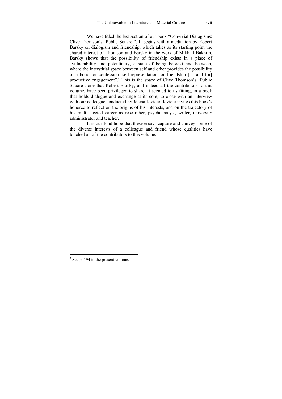We have titled the last section of our book "Convivial Dialogisms: Clive Thomson's 'Public Square'". It begins with a meditation by Robert Barsky on dialogism and friendship, which takes as its starting point the shared interest of Thomson and Barsky in the work of Mikhail Bakhtin. Barsky shows that the possibility of friendship exists in a place of "vulnerability and potentiality, a state of being betwixt and between, where the interstitial space between self and other provides the possibility of a bond for confession, self-representation, or friendship [… and for] productive engagement".<sup>5</sup> This is the space of Clive Thomson's 'Public Square': one that Robert Barsky, and indeed all the contributors to this volume, have been privileged to share. It seemed to us fitting, in a book that holds dialogue and exchange at its core, to close with an interview with our colleague conducted by Jelena Jovicic. Jovicic invites this book's honoree to reflect on the origins of his interests, and on the trajectory of his multi-faceted career as researcher, psychoanalyst, writer, university administrator and teacher.

It is our fond hope that these essays capture and convey some of the diverse interests of a colleague and friend whose qualities have touched all of the contributors to this volume.

<sup>5</sup> See p. 194 in the present volume.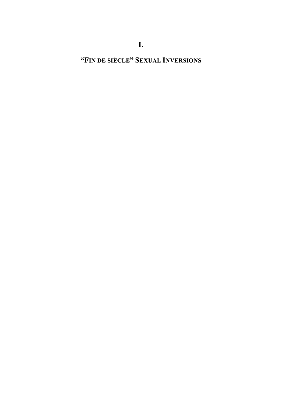## **"FIN DE SIÈCLE" SEXUAL INVERSIONS**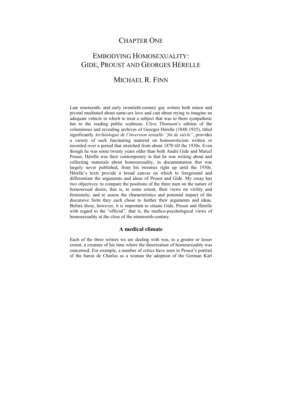## CHAPTER ONE

## EMBODYING HOMOSEXUALITY: GIDE, PROUST AND GEORGES HÉRELLE

## MICHAEL R. FINN

Late nineteenth- and early twentieth-century gay writers both minor and pivotal meditated about same-sex love and cast about trying to imagine an adequate vehicle in which to treat a subject that was to them sympathetic but to the reading public scabrous. Clive Thomson's edition of the voluminous and revealing archives of Georges Hérelle (1848-1935), titled significantly *Archéologue de l'inversion sexuelle "fin de siècle"*, provides a variety of such fascinating material on homoeroticism written or recorded over a period that stretched from about 1870 till the 1930s. Even though he was some twenty years older than both André Gide and Marcel Proust, Hérelle was their contemporary in that he was writing about and collecting materials about homosexuality, in documentation that was largely never published, from his twenties right up until the 1930s. Hérelle's texts provide a broad canvas on which to foreground and differentiate the arguments and ideas of Proust and Gide. My essay has two objectives: to compare the positions of the three men on the nature of homosexual desire, that is, to some extent, their views on virility and femininity; and to assess the characteristics and potential impact of the discursive form they each chose to further their arguments and ideas. Before these, however, it is important to situate Gide, Proust and Hérelle with regard to the "official", that is, the medico-psychological views of homosexuality at the close of the nineteenth-century.

### **A medical climate**

Each of the three writers we are dealing with was, to a greater or lesser extent, a creature of his time where the theorization of homosexuality was concerned. For example, a number of critics have seen in Proust's portrait of the baron de Charlus as a woman the adoption of the German Karl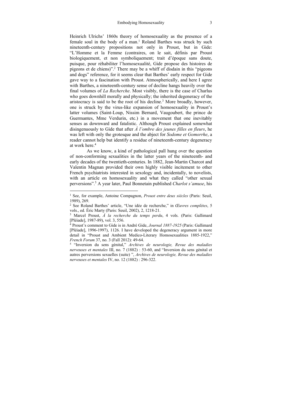Heinrich Ulrichs' 1860s theory of homosexuality as the presence of a female soul in the body of a man.<sup>1</sup> Roland Barthes was struck by such nineteenth-century propositions not only in Proust, but in Gide: "L'Homme et la Femme (contraires, on le sait, définis par Proust biologiquement, et non symboliquement; trait d'époque sans doute, puisque, pour réhabiliter l'homosexualité, Gide propose des histoires de pigeons et de chiens)".2 There may be a whiff of disdain in this "pigeons and dogs" reference, for it seems clear that Barthes' early respect for Gide gave way to a fascination with Proust. Atmospherically, and here I agree with Barthes, a nineteenth-century sense of decline hangs heavily over the final volumes of *La Recherche*. Most visibly, there is the case of Charlus who goes downhill morally and physically; the inherited degeneracy of the aristocracy is said to be the root of his decline.<sup>3</sup> More broadly, however, one is struck by the virus-like expansion of homosexuality in Proust's latter volumes (Saint-Loup, Nissim Bernard, Vaugoubert, the prince de Guermantes, Mme Verdurin, etc.) in a movement that one inevitably senses as downward and fatalistic. Although Proust explained somewhat disingenuously to Gide that after *À l'ombre des jeunes filles en fleurs*, he was left with only the grotesque and the abject for *Sodome et Gomorrhe*, a reader cannot help but identify a residue of nineteenth-century degeneracy at work here.4

As we know, a kind of pathological pall hung over the question of non-conforming sexualities in the latter years of the nineteenth- and early decades of the twentieth-centuries. In 1882, Jean-Martin Charcot and Valentin Magnan provided their own highly visible incitement to other French psychiatrists interested in sexology and, incidentally, to novelists, with an article on homosexuality and what they called "other sexual perversions".5 A year later, Paul Bonnetain published *Charlot s'amuse*, his

<sup>&</sup>lt;sup>1</sup> See, for example, Antoine Compagnon, Proust entre deux siècles (Paris: Seuil, 1989), 269.

<sup>2</sup> See Roland Barthes' article, "Une idée de recherche," in *Œuvres complètes*, 5 vols., ed. Éric Marty (Paris: Seuil, 2002), 2, 1218-21.<br><sup>3</sup> Marcel Proust, *À la recherche du temps perdu*, 4 vols. (Paris: Gallimard

<sup>[</sup>Pléiade], 1987-89), vol. 3, 556.

<sup>4</sup> Proust's comment to Gide is in André Gide, *Journal 1887-1925* (Paris: Gallimard [Pléiade], 1996-1997), 1126. I have developed the degeneracy argument in more detail in "Proust and Ambient Medico-Literary Homosexualities 1885-1922," *French Forum* 37, no. 3 (Fall 2012): 49-64.<br><sup>5</sup> "Inversion du sens génital," *Archives de neurologie, Revue des maladies* 

*nerveuses et mentales* III, no. 7 (1882) : 53-60, and "Inversion du sens génital et autres perversions sexuelles (suite) ", *Archives de neurologie, Revue des maladies nerveuses et mentales* IV, no. 12 (1882) : 296-322.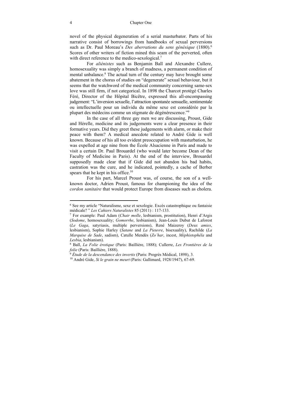novel of the physical degeneration of a serial masturbator. Parts of his narrative consist of borrowings from handbooks of sexual perversions such as Dr. Paul Moreau's *Des aberrations du sens génésique* (1880).6 Scores of other writers of fiction mined this seam of the perverted, often with direct reference to the medico-sexological. $<sup>7</sup>$ </sup>

For *aliénistes* such as Benjamin Ball and Alexandre Cullere, homosexuality was simply a branch of madness, a permanent condition of mental unbalance.<sup>8</sup> The actual turn of the century may have brought some abatement in the chorus of studies on "degenerate" sexual behaviour, but it seems that the watchword of the medical community concerning same-sex love was still firm, if not categorical. In 1898 the Charcot protégé Charles Féré, Director of the Hôpital Bicêtre, expressed this all-encompassing judgement: "L'inversion sexuelle, l'attraction spontanée sensuelle, sentimentale ou intellectuelle pour un individu du même sexe est considérée par la plupart des médecins comme un stigmate de dégénérescence."9

In the case of all three gay men we are discussing, Proust, Gide and Hérelle, medicine and its judgements were a clear presence in their formative years. Did they greet these judgements with alarm, or make their peace with them? A medical anecdote related to André Gide is well known. Because of his all too evident preoccupation with masturbation, he was expelled at age nine from the École Alsacienne in Paris and made to visit a certain Dr. Paul Brouardel (who would later become Dean of the Faculty of Medicine in Paris). At the end of the interview, Brouardel supposedly made clear that if Gide did not abandon his bad habits, castration was the cure, and he indicated, pointedly, a cache of Berber spears that he kept in his office.<sup>10</sup>

For his part, Marcel Proust was, of course, the son of a wellknown doctor, Adrien Proust, famous for championing the idea of the *cordon sanitaire* that would protect Europe from diseases such as cholera.

<sup>6</sup> See my article "Naturalisme, sexe et sexologie. Excès catastrophique ou fantaisie médicale? " *Les Cahiers Naturalistes* 85 (2011) : 117-133. 7 For example: Paul Adam (*Chair molle*, lesbianism, prostitution), Henri d'Argis

<sup>(</sup>*Sodome*, homosexuality; *Gomorrhe*, lesbianism), Jean-Louis Dubut de Laforest (*Le Gaga*, satyriasis, multiple perversions), René Maizeroy (*Deux amies*, lesbianism), Sophie Harley (*Satane* and *La Pieuvre*, bisexuality), Rachilde (*La Marquise de Sade*, sadism), Catulle Mendès (*Zo'har*, incest, *Méphistophéla* and *Lesbia*, lesbianism). 8 Ball, *La Folie érotique* (Paris: Baillière, 1888); Cullerre, *Les Frontières de la* 

*folie* (Paris: Baillière, 1888). 9 *Étude de la descendance des invertis* (Paris: Progrès Médical, 1898), 3. 10 André Gide, *Si le grain ne meurt* (Paris: Gallimard, 1928/1947), 67-69.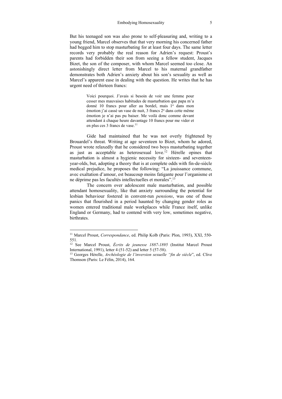But his teenaged son was also prone to self-pleasuring and, writing to a young friend, Marcel observes that that very morning his concerned father had begged him to stop masturbating for at least four days. The same letter records very probably the real reason for Adrien's request: Proust's parents had forbidden their son from seeing a fellow student, Jacques Bizet, the son of the composer, with whom Marcel seemed too close. An astonishingly direct letter from Marcel to his maternal grandfather demonstrates both Adrien's anxiety about his son's sexuality as well as Marcel's apparent ease in dealing with the question. He writes that he has urgent need of thirteen francs:

> Voici pourquoi. J'avais si besoin de voir une femme pour cesser mes mauvaises habitudes de masturbation que papa m'a donné 10 francs pour aller au bordel, mais 1º dans mon émotion i'ai cassé un vase de nuit, 3 francs 2<sup>°</sup> dans cette même émotion je n'ai pas pu baiser. Me voilà donc comme devant attendant à chaque heure davantage 10 francs pour me vider et en plus ces 3 francs de vase.<sup>11</sup>

Gide had maintained that he was not overly frightened by Brouardel's threat. Writing at age seventeen to Bizet, whom he adored, Proust wrote relaxedly that he considered two boys masturbating together as just as acceptable as heterosexual love.<sup>12</sup> Hérelle opines that masturbation is almost a hygienic necessity for sixteen- and seventeenyear-olds, but, adopting a theory that is at complete odds with fin-de-siècle medical prejudice, he proposes the following: "La jouissance commune, avec exaltation d'amour, est beaucoup moins fatigante pour l'organisme et ne déprime pas les facultés intellectuelles et morales".13

The concern over adolescent male masturbation, and possible attendant homosexuality, like that anxiety surrounding the potential for lesbian behaviour fostered in convent-run *pensions*, was one of those panics that flourished in a period haunted by changing gender roles as women entered traditional male workplaces while France itself, unlike England or Germany, had to contend with very low, sometimes negative, birthrates.

<sup>11</sup> Marcel Proust, *Correspondance*, ed. Philip Kolb (Paris: Plon, 1993), XXI, 550- 551.

<sup>&</sup>lt;sup>12</sup> See Marcel Proust, *Écrits de jeunesse 1887-1895* (Institut Marcel Proust International, 1991), letter 4 (51-52) and letter 5 (57-58).

<sup>&</sup>lt;sup>13</sup> Georges Hérelle, *Archéologie de l'inversion sexuelle "fin de siècle"*, ed. Clive Thomson (Paris: Le Félin, 2014), 164.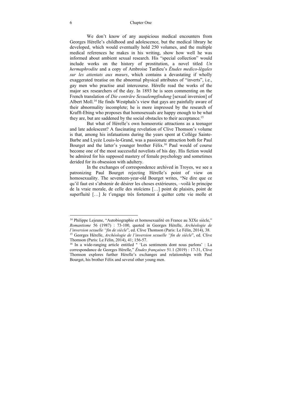### 6 Chapter One

 We don't know of any auspicious medical encounters from Georges Hérelle's childhood and adolescence, but the medical library he developed, which would eventually hold 250 volumes, and the multiple medical references he makes in his writing, show how well he was informed about ambient sexual research. His "special collection" would include works on the history of prostitution, a novel titled *Un hermaphrodite* and a copy of Ambroise Tardieu's *Études medico-légales sur les attentats aux mœurs*, which contains a devastating if wholly exaggerated treatise on the abnormal physical attributes of "inverts", i.e., gay men who practise anal intercourse. Hérelle read the works of the major sex researchers of the day. In 1893 he is seen commenting on the French translation of *Die conträre Sexualempfindung* [sexual inversion] of Albert Moll.<sup>14</sup> He finds Westphals's view that gays are painfully aware of their abnormality incomplete; he is more impressed by the research of Krafft-Ebing who proposes that homosexuals are happy enough to be what they are, but are saddened by the social obstacles to their acceptance.<sup>15</sup>

But what of Hérelle's own homoerotic attractions as a teenager and late adolescent? A fascinating revelation of Clive Thomson's volume is that, among his infatuations during the years spent at Collège Sainte-Barbe and Lycée Louis-le-Grand, was a passionate attraction both for Paul Bourget and the latter's younger brother Félix.16 Paul would of course become one of the most successful novelists of his day. His fiction would be admired for his supposed mastery of female psychology and sometimes derided for its obsession with adultery.

In the exchanges of correspondence archived in Troyes, we see a patronizing Paul Bourget rejecting Hérelle's point of view on homosexuality. The seventeen-year-old Bourget writes, "Ne dire que ce qu'il faut est s'abstenir de désirer les choses extérieures, –voilà le principe de la vraie morale, de celle des stoïciens […] point de plaisirs, point de superfluité […] Je t'engage très fortement à quitter cette vie molle et

<sup>14</sup> Philippe Lejeune, "Autobiographie et homosexualité en France au XIXe siècle," *Romantisme* 56 (1987) : 73-100, quoted in Georges Hérelle, *Archéologie de l'inversion sexuelle "fin de siècle*", ed. Clive Thomson (Paris: Le Félin, 2014), 38. 15 Georges Hérelle, *Archéologie de l'inversion sexuelle "fin de siècle*", ed. Clive

Thomson (Paris: Le Félin, 2014), 41; 156-57.<br><sup>16</sup> In a wide-ranging article entitled " 'Les sentiments dont nous parlons' : La

correspondance de Georges Hérelle," *Études françaises* 51.1 (2019) : 17-31, Clive Thomson explores further Hérelle's exchanges and relationships with Paul Bourget, his brother Félix and several other young men.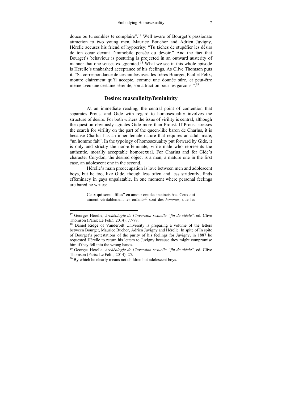douce où tu sembles te complaire".17 Well aware of Bourget's passionate attraction to two young men, Maurice Bouchor and Adrien Juvigny, Hérelle accuses his friend of hypocrisy: "Tu tâches de stupéfier les désirs de ton cœur devant l'immobile pensée du devoir." And the fact that Bourget's behaviour is posturing is projected in an outward austerity of manner that one senses exaggerated.<sup>18</sup> What we see in this whole episode is Hérelle's unabashed acceptance of his feelings. As Clive Thomson puts it, "Sa correspondance de ces années avec les frères Bourget, Paul et Félix, montre clairement qu'il accepte, comme une donnée sûre, et peut-être même avec une certaine sérénité, son attraction pour les garçons ".19

### **Desire: masculinity/femininity**

At an immediate reading, the central point of contention that separates Proust and Gide with regard to homosexuality involves the structure of desire. For both writers the issue of virility is central, although the question obviously agitates Gide more than Proust. If Proust stresses the search for virility on the part of the queen-like baron de Charlus, it is because Charlus has an inner female nature that requires an adult male, "un homme fait". In the typology of homosexuality put forward by Gide, it is only and strictly the non-effeminate, virile male who represents the authentic, morally acceptable homosexual. For Charlus and for Gide's character Corydon, the desired object is a man, a mature one in the first case, an adolescent one in the second.

 Hérelle's main preoccupation is love between men and adolescent boys, but he too, like Gide, though less often and less stridently, finds effeminacy in gays unpalatable. In one moment where personal feelings are bared he writes:

> Ceux qui sont " filles" en amour ont des instincts bas. Ceux qui aiment véritablement les enfants<sup>20</sup> sont des *hommes*, que les

<sup>17</sup> Georges Hérelle, *Archéologie de l'inversion sexuelle "fin de siècle*", ed. Clive Thomson (Paris: Le Félin, 2014), 77-78.<br><sup>18</sup> Daniel Ridge of Vanderbilt University is preparing a volume of the letters

between Bourget, Maurice Buchor, Adrien Juvigny and Hérelle. In spite of In spite of Bourget's protestations of the purity of his feelings for Juvigny, in 1887 he requested Hérelle to return his letters to Juvigny because they might compromise him if they fell into the wrong hands.

<sup>19</sup> Georges Hérelle, *Archéologie de l'inversion sexuelle "fin de siècle*", ed. Clive Thomson (Paris: Le Félin, 2014), 25.<br><sup>20</sup> By which he clearly means not children but adolescent boys.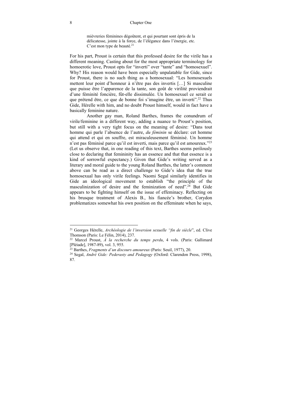mièvreries féminines dégoûtent, et qui pourtant sont épris de la délicatesse, jointe à la force, de l'élégance dans l'énergie, etc. C'est mon type de beauté.<sup>21</sup>

For his part, Proust is certain that this professed desire for the virile has a different meaning. Casting about for the most appropriate terminology for homoerotic love, Proust opts for "inverti" over "tante" and "homosexuel". Why? His reason would have been especially unpalatable for Gide, since for Proust, there is no such thing as a homosexual: "Les homosexuels mettent leur point d'honneur à n'être pas des invertis […] Si masculine que puisse être l'apparence de la tante, son goût de virilité proviendrait d'une féminité foncière, fût-elle dissimulée. Un homosexuel ce serait ce que prétend être, ce que de bonne foi s'imagine être, un inverti<sup>"? 22</sup> Thus Gide, Hérelle with him, and no doubt Proust himself, would in fact have a basically feminine nature.

 Another gay man, Roland Barthes, frames the conundrum of virile/feminine in a different way, adding a nuance to Proust's position, but still with a very tight focus on the meaning of desire: "Dans tout homme qui parle l'absence de l'autre, *du féminin* se déclare: cet homme qui attend et qui en souffre, est miraculeusement féminisé. Un homme n'est pas féminisé parce qu'il est inverti, mais parce qu'il est amoureux."23 (Let us observe that, in one reading of this text, Barthes seems perilously close to declaring that femininity has an essence and that that essence is a kind of sorrowful expectancy.) Given that Gide's writing served as a literary and moral guide to the young Roland Barthes, the latter's comment above can be read as a direct challenge to Gide's idea that the true homosexual has only virile feelings. Naomi Segal similarly identifies in Gide an ideological movement to establish "the principle of the masculinization of desire and the feminization of need".<sup>24</sup> But Gide appears to be fighting himself on the issue of effeminacy. Reflecting on his brusque treatment of Alexis B., his fiancée's brother, Corydon problematizes somewhat his own position on the effeminate when he says,

<sup>21</sup> Georges Hérelle, *Archéologie de l'inversion sexuelle "fin de siècle*", ed. Clive Thomson (Paris: Le Félin, 2014), 237. 22 Marcel Proust, *À la recherche du temps perdu*, 4 vols. (Paris: Gallimard

<sup>[</sup>Pléiade], 1987-89), vol. 3, 955.<br><sup>23</sup> Barthes, Fragments d'un discours amoureux (Paris: Seuil, 1977), 20.

<sup>&</sup>lt;sup>24</sup> Segal, *André Gide: Pederasty and Pedagogy* (Oxford: Clarendon Press, 1998), 87.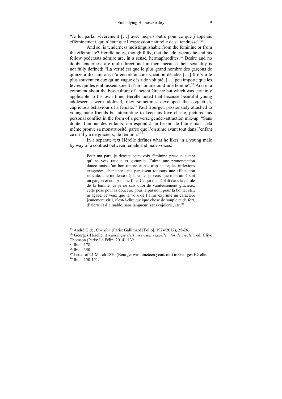"Je lui parlai sévèrement […] avec mépris outré pour ce que j'appelais efféminement, qui n'était que l'expression naturelle de sa tendresse".<sup>25</sup>

And so, is tenderness indistinguishable from the feminine or from the effeminate? Hérelle notes, thoughtfully, that the adolescents he and his fellow pederasts admire are, in a sense, hermaphrodites.26 Desire and no doubt tenderness are multi-directional in them because their sexuality is not fully defined: "La vérité est que le plus grand nombre des garçons de quinze à dix-huit ans n'a encore aucune vocation décidée […] Il n'y a le plus souvent en eux qu'un vague désir de volupté, […] peu importe que les lèvres qui les embrassent soient d'un homme ou d'une femme".27 And in a comment about the boy-culture of ancient Greece but which was certainly applicable to his own time, Hérelle noted that because beautiful young adolescents were idolized, they sometimes developed the coquettish, capricious behaviour of a female.28 Paul Bourget, passionately attached to young male friends but attempting to keep his love chaste, pictured his personal conflict in the form of a perverse gender-attraction mix-up: "Sans doute [l'amour des enfants] correspond à un besoin de l'âme mais cela même prouve sa monstruosité, parce que l'on aime avant tout dans l'enfant ce qu'il y a de gracieux, de féminin."29

In a separate text Hérelle defines what he likes in a young male by way of a contrast between female and male voices:

> Pour ma part, je déteste cette voix féminine presque autant qu'une voix rauque et gutturale. J'aime une prononciation douce mais d'un bon timbre et pas trop haute; les inflexions exagérées, chantantes, me paraissent toujours une affectation ridicule, une mollesse déplaisante: je veux que mon aimé soit un garçon et non pas une fille. Ce qui me déplaît dans la parole de la femme, ce je ne sais quoi de vaniteusement gracieux, cette pose pour la douceur, pour la passion, pour la bonté, etc., m'agace. Je veux que la voix de l'aimé exprime un caractère jeunement viril, c'est-à-dire quelque chose de souple et de fort, d'alerte et d'aimable, sans langueur, sans cajolerie, etc.<sup>30</sup>

<sup>&</sup>lt;sup>25</sup> André Gide, *Corydon* (Paris: Gallimard [Folio], 1924/2012), 25-26.<br><sup>26</sup> Georges Hérelle, *Archéologie de l'inversion sexuelle "fin de siècle*", ed. Clive

Thomson (Paris: Le Félin, 2014), 132. 27 Ibid., 178.

<sup>28</sup> Ibid., 350.

<sup>&</sup>lt;sup>29</sup> Letter of 21 March 1870 (Bourget was nineteen years old) to Georges Hérelle. <sup>30</sup> Ibid., 150-151.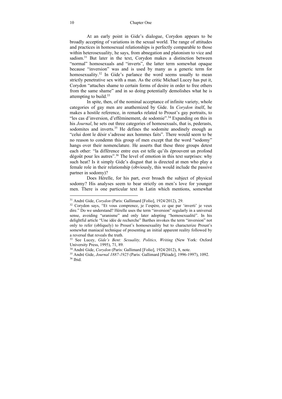### 10 Chapter One

 At an early point in Gide's dialogue, Corydon appears to be broadly accepting of variations in the sexual world. The range of attitudes and practices in homosexual relationships is perfectly comparable to those within heterosexuality, he says, from abnegation and platonism to vice and sadism.<sup>31</sup> But later in the text, Corydon makes a distinction between "normal" homosexuals and "inverts", the latter term somewhat opaque because "inversion" was and is used by many as a generic term for homosexuality.<sup>32</sup> In Gide's parlance the word seems usually to mean strictly penetrative sex with a man. As the critic Michael Lucey has put it, Corydon "attaches shame to certain forms of desire in order to free others from the same shame" and in so doing potentially demolishes what he is attempting to build.<sup>33</sup>

 In spite, then, of the nominal acceptance of infinite variety, whole categories of gay men are anathemized by Gide. In *Corydon* itself, he makes a hostile reference, in remarks related to Proust's gay portraits, to "les cas d'inversion, d'efféminement, de sodomie".34 Expanding on this in his *Journal*, he sets out three categories of homosexuals, that is, pederasts, sodomites and inverts.<sup>35</sup> He defines the sodomite anodinely enough as "celui dont le désir s'adresse aux hommes faits". There would seem to be no reason to condemn this group of men except that the word "sodomy" hangs over their nomenclature. He asserts that these three groups detest each other: "la différence entre eux est telle qu'ils éprouvent un profond dégoût pour les autres".<sup>36</sup> The level of emotion in this text surprises: why such heat? Is it simply Gide's disgust that is directed at men who play a female role in their relationship (obviously, this would include the passive partner in sodomy)?

Does Hérelle, for his part, ever broach the subject of physical sodomy? His analyses seem to bear strictly on men's love for younger men. There is one particular text in Latin which mentions, somewhat

<sup>&</sup>lt;sup>31</sup> André Gide, *Corydon* (Paris: Gallimard [Folio], 1924/2012), 29.<br><sup>32</sup> Corydon says, "Et vous comprenez, je l'espère, ce que par 'inverti' je veux dire." Do we understand? Hérelle uses the term "inversion" regularly in a universal sense, avoiding "uranisme" and only later adopting "homosexualité". In his delightful article "Une idée de recherche" Barthes invokes the term "inversion" not only to refer (obliquely) to Proust's homosexuality but to characterize Proust's somewhat maniacal technique of presenting an initial apparent reality followed by a reversal that reveals the truth.

<sup>33</sup> See Lucey, *Gide's Bent: Sexuality, Politics, Writing* (New York: Oxford University Press, 1995), 71, 89.<br><sup>34</sup> André Gide, *Corydon* (Paris: Gallimard [Folio], 1924/2012), 8, note.

<sup>&</sup>lt;sup>35</sup> André Gide, *Journal 1887-1925* (Paris: Gallimard [Pléiade], 1996-1997), 1092.<br><sup>36</sup> Ibid.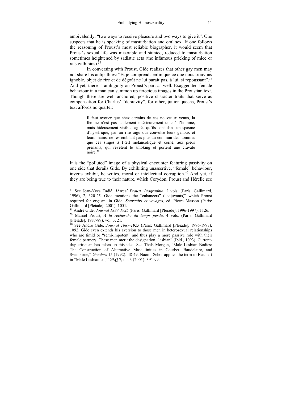ambivalently, "two ways to receive pleasure and two ways to give it". One suspects that he is speaking of masturbation and oral sex. If one follows the reasoning of Proust's most reliable biographer, it would seem that Proust's sexual life was miserable and stunted, reduced to masturbation sometimes heightened by sadistic acts (the infamous pricking of mice or rats with pins). $37$ 

In conversing with Proust, Gide realizes that other gay men may not share his antipathies: "Et je comprends enfin que ce que nous trouvons ignoble, objet de rire et de dégoût ne lui paraît pas, à lui, si repoussant".38 And yet, there is ambiguity on Proust's part as well. Exaggerated female behaviour in a man can summon up ferocious images in the Proustian text. Though there are well anchored, positive character traits that serve as compensation for Charlus' "depravity", for other, junior queens, Proust's text affords no quarter:

> Il faut avouer que chez certains de ces nouveaux venus, la femme n'est pas seulement intérieurement unie à l'homme, mais hideusement visible, agités qu'ils sont dans un spasme d'hystérique, par un rire aigu qui convulse leurs genoux et leurs mains, ne ressemblant pas plus au commun des hommes que ces singes à l'œil mélancolique et cerné, aux pieds prenants, qui revêtent le smoking et portent une cravate noire.39

It is the "polluted" image of a physical encounter featuring passivity on one side that derails Gide. By exhibiting unassertive, "female" behaviour, inverts exhibit, he writes, moral or intellectual corruption.<sup>40</sup> And yet, if they are being true to their nature, which Corydon, Proust and Hérelle see

<sup>37</sup> See Jean-Yves Tadié, *Marcel Proust. Biographie*, 2 vols. (Paris: Gallimard, 1996), 2, 320-25. Gide mentions the "enhancers" ("adjuvants)" which Proust required for orgasm, in Gide, *Souvenirs et voyages*, ed. Pierre Masson (Paris: Gallimard [Pléiade], 2001), 1051.

<sup>38</sup> André Gide, *Journal 1887-1925* (Paris: Gallimard [Pléiade], 1996-1997), 1126. 39 Marcel Proust, *À la recherche du temps perdu*, 4 vols. (Paris: Gallimard

<sup>[</sup>Pléiade], 1987-89), vol. 3, 21.

<sup>40</sup> See André Gide, *Journal 1887-1925* (Paris: Gallimard [Pléiade], 1996-1997), 1092. Gide even extends his aversion to those men in heterosexual relationships who are timid or "semi-impotent" and thus play a more passive role with their female partners. These men merit the designation "lesbian" (Ibid., 1093). Currentday criticism has taken up this idea. See Thaïs Morgan, "Male Lesbian Bodies: The Construction of Alternative Masculinities in Courbet, Baudelaire, and Swinburne," *Genders* 15 (1992): 48-49. Naomi Schor applies the term to Flaubert in "Male Lesbianism," *GLQ* 7, no. 3 (2001): 391-99.